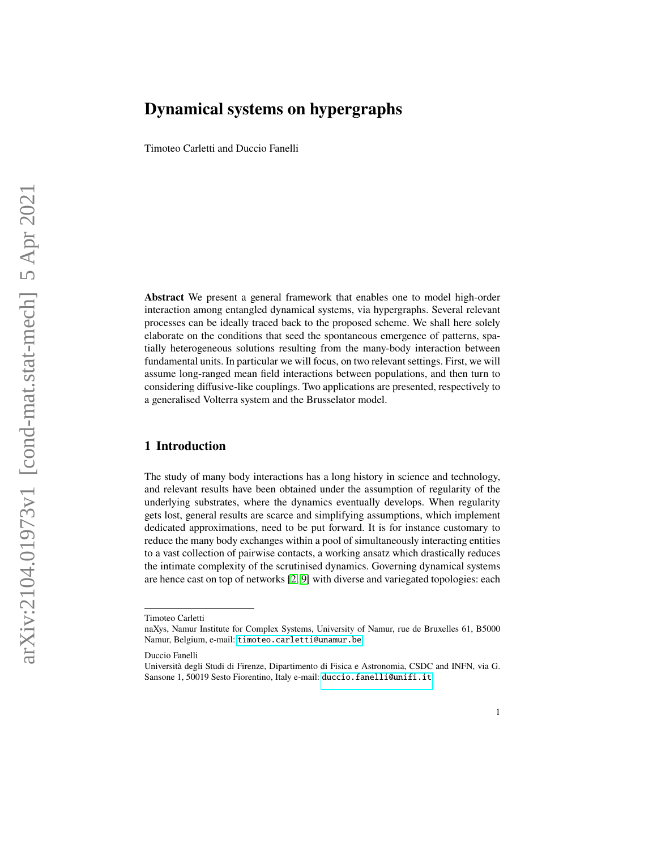Timoteo Carletti and Duccio Fanelli

**Abstract** We present a general framework that enables one to model high-order interaction among entangled dynamical systems, via hypergraphs. Several relevant processes can be ideally traced back to the proposed scheme. We shall here solely elaborate on the conditions that seed the spontaneous emergence of patterns, spatially heterogeneous solutions resulting from the many-body interaction between fundamental units. In particular we will focus, on two relevant settings. First, we will assume long-ranged mean field interactions between populations, and then turn to considering diffusive-like couplings. Two applications are presented, respectively to a generalised Volterra system and the Brusselator model.

### **1 Introduction**

The study of many body interactions has a long history in science and technology, and relevant results have been obtained under the assumption of regularity of the underlying substrates, where the dynamics eventually develops. When regularity gets lost, general results are scarce and simplifying assumptions, which implement dedicated approximations, need to be put forward. It is for instance customary to reduce the many body exchanges within a pool of simultaneously interacting entities to a vast collection of pairwise contacts, a working ansatz which drastically reduces the intimate complexity of the scrutinised dynamics. Governing dynamical systems are hence cast on top of networks [\[2,](#page-16-0) [9\]](#page-16-1) with diverse and variegated topologies: each

Timoteo Carletti

naXys, Namur Institute for Complex Systems, University of Namur, rue de Bruxelles 61, B5000 Namur, Belgium, e-mail: <timoteo.carletti@unamur.be>

Duccio Fanelli

Università degli Studi di Firenze, Dipartimento di Fisica e Astronomia, CSDC and INFN, via G. Sansone 1, 50019 Sesto Fiorentino, Italy e-mail: <duccio.fanelli@unifi.it>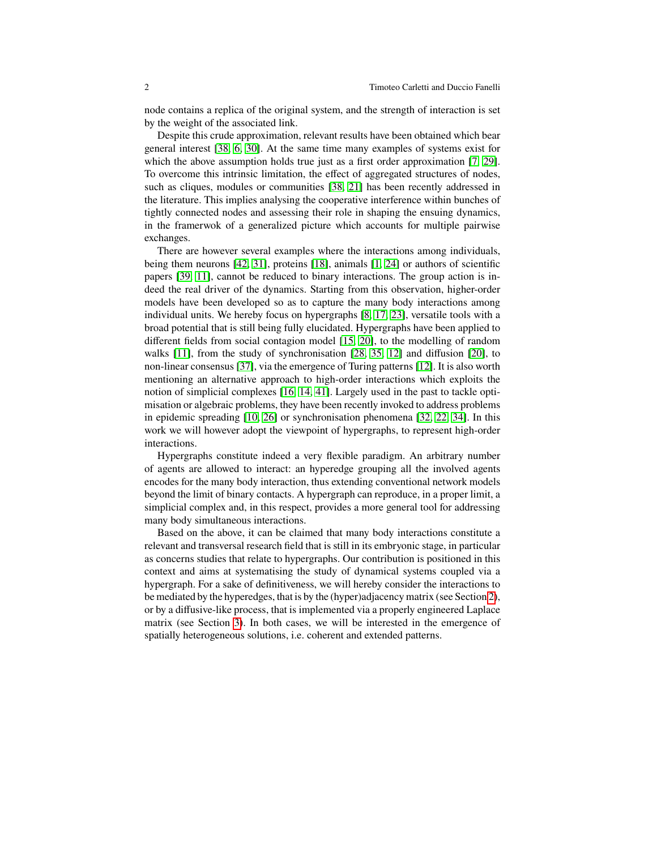node contains a replica of the original system, and the strength of interaction is set by the weight of the associated link.

Despite this crude approximation, relevant results have been obtained which bear general interest [\[38,](#page-17-0) [6,](#page-16-2) [30\]](#page-17-1). At the same time many examples of systems exist for which the above assumption holds true just as a first order approximation [\[7,](#page-16-3) [29\]](#page-17-2). To overcome this intrinsic limitation, the effect of aggregated structures of nodes, such as cliques, modules or communities [\[38,](#page-17-0) [21\]](#page-16-4) has been recently addressed in the literature. This implies analysing the cooperative interference within bunches of tightly connected nodes and assessing their role in shaping the ensuing dynamics, in the framerwok of a generalized picture which accounts for multiple pairwise exchanges.

There are however several examples where the interactions among individuals, being them neurons [\[42,](#page-17-3) [31\]](#page-17-4), proteins [\[18\]](#page-16-5), animals [\[1,](#page-16-6) [24\]](#page-16-7) or authors of scientific papers [\[39,](#page-17-5) [11\]](#page-16-8), cannot be reduced to binary interactions. The group action is indeed the real driver of the dynamics. Starting from this observation, higher-order models have been developed so as to capture the many body interactions among individual units. We hereby focus on hypergraphs [\[8,](#page-16-9) [17,](#page-16-10) [23\]](#page-16-11), versatile tools with a broad potential that is still being fully elucidated. Hypergraphs have been applied to different fields from social contagion model [\[15,](#page-16-12) [20\]](#page-16-13), to the modelling of random walks [\[11\]](#page-16-8), from the study of synchronisation [\[28,](#page-17-6) [35,](#page-17-7) [12\]](#page-16-14) and diffusion [\[20\]](#page-16-13), to non-linear consensus [\[37\]](#page-17-8), via the emergence of Turing patterns [\[12\]](#page-16-14). It is also worth mentioning an alternative approach to high-order interactions which exploits the notion of simplicial complexes [\[16,](#page-16-15) [14,](#page-16-16) [41\]](#page-17-9). Largely used in the past to tackle optimisation or algebraic problems, they have been recently invoked to address problems in epidemic spreading [\[10,](#page-16-17) [26\]](#page-17-10) or synchronisation phenomena [\[32,](#page-17-11) [22,](#page-16-18) [34\]](#page-17-12). In this work we will however adopt the viewpoint of hypergraphs, to represent high-order interactions.

Hypergraphs constitute indeed a very flexible paradigm. An arbitrary number of agents are allowed to interact: an hyperedge grouping all the involved agents encodes for the many body interaction, thus extending conventional network models beyond the limit of binary contacts. A hypergraph can reproduce, in a proper limit, a simplicial complex and, in this respect, provides a more general tool for addressing many body simultaneous interactions.

Based on the above, it can be claimed that many body interactions constitute a relevant and transversal research field that is still in its embryonic stage, in particular as concerns studies that relate to hypergraphs. Our contribution is positioned in this context and aims at systematising the study of dynamical systems coupled via a hypergraph. For a sake of definitiveness, we will hereby consider the interactions to be mediated by the hyperedges, that is by the (hyper)adjacency matrix (see Section [2\)](#page-2-0), or by a diffusive-like process, that is implemented via a properly engineered Laplace matrix (see Section [3\)](#page-8-0). In both cases, we will be interested in the emergence of spatially heterogeneous solutions, i.e. coherent and extended patterns.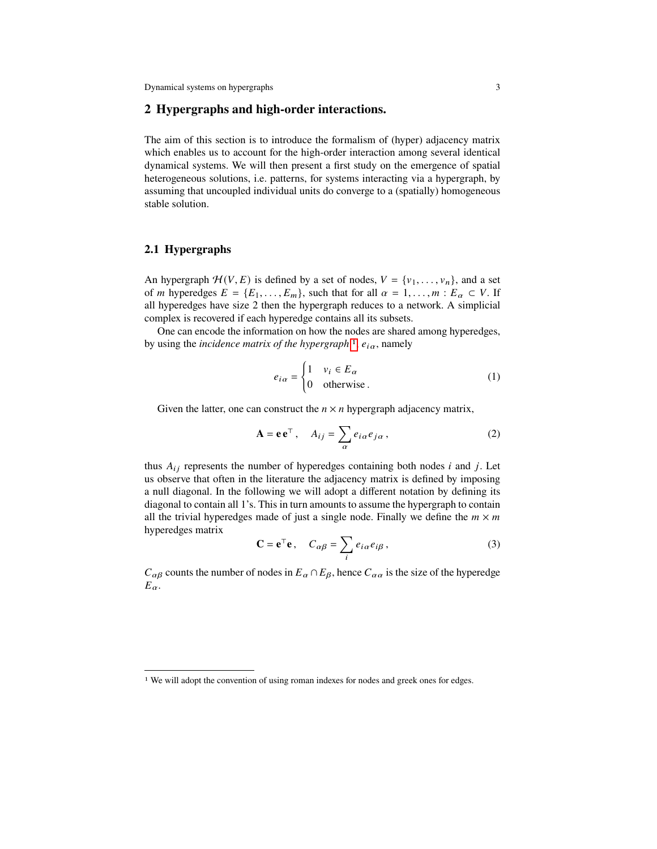## <span id="page-2-0"></span>**2 Hypergraphs and high-order interactions.**

The aim of this section is to introduce the formalism of (hyper) adjacency matrix which enables us to account for the high-order interaction among several identical dynamical systems. We will then present a first study on the emergence of spatial heterogeneous solutions, i.e. patterns, for systems interacting via a hypergraph, by assuming that uncoupled individual units do converge to a (spatially) homogeneous stable solution.

# **2.1 Hypergraphs**

An hypergraph  $\mathcal{H}(V, E)$  is defined by a set of nodes,  $V = \{v_1, \ldots, v_n\}$ , and a set of *m* hyperedges  $E = \{E_1, \ldots, E_m\}$ , such that for all  $\alpha = 1, \ldots, m : E_\alpha \subset V$ . If all hyperedges have size 2 then the hypergraph reduces to a network. A simplicial complex is recovered if each hyperedge contains all its subsets.

One can encode the information on how the nodes are shared among hyperedges, by using the *incidence matrix of the hypergraph* <sup>[1](#page-2-1)</sup>,  $e_{i\alpha}$ , namely

$$
e_{i\alpha} = \begin{cases} 1 & v_i \in E_{\alpha} \\ 0 & \text{otherwise.} \end{cases}
$$
 (1)

Given the latter, one can construct the  $n \times n$  hypergraph adjacency matrix,

<span id="page-2-2"></span>
$$
\mathbf{A} = \mathbf{e} \mathbf{e}^{\top}, \quad A_{ij} = \sum_{\alpha} e_{i\alpha} e_{j\alpha}, \tag{2}
$$

thus  $A_{ij}$  represents the number of hyperedges containing both nodes  $i$  and  $j$ . Let us observe that often in the literature the adjacency matrix is defined by imposing a null diagonal. In the following we will adopt a different notation by defining its diagonal to contain all 1's. This in turn amounts to assume the hypergraph to contain all the trivial hyperedges made of just a single node. Finally we define the  $m \times m$ hyperedges matrix

$$
\mathbf{C} = \mathbf{e}^{\top} \mathbf{e}, \quad C_{\alpha \beta} = \sum_{i} e_{i\alpha} e_{i\beta}, \tag{3}
$$

 $C_{\alpha\beta}$  counts the number of nodes in  $E_{\alpha} \cap E_{\beta}$ , hence  $C_{\alpha\alpha}$  is the size of the hyperedge  $E_{\alpha}$ .

<span id="page-2-1"></span><sup>&</sup>lt;sup>1</sup> We will adopt the convention of using roman indexes for nodes and greek ones for edges.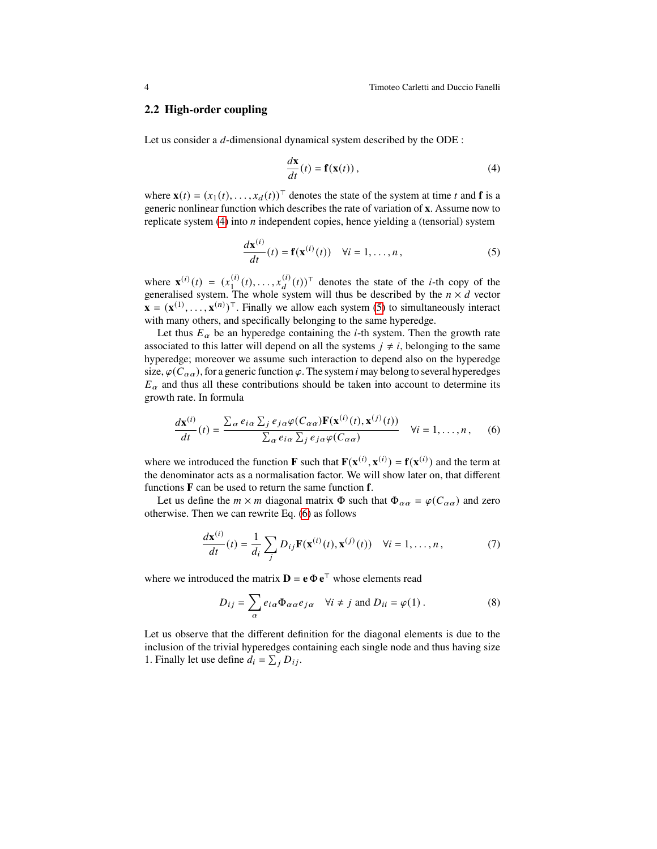#### **2.2 High-order coupling**

Let us consider a  $d$ -dimensional dynamical system described by the ODE :

<span id="page-3-0"></span>
$$
\frac{d\mathbf{x}}{dt}(t) = \mathbf{f}(\mathbf{x}(t)),
$$
\n(4)

where  $\mathbf{x}(t) = (x_1(t), \dots, x_d(t))^T$  denotes the state of the system at time t and **f** is a generic nonlinear function which describes the rate of variation of **x**. Assume now to replicate system  $(4)$  into *n* independent copies, hence yielding a (tensorial) system

<span id="page-3-1"></span>
$$
\frac{d\mathbf{x}^{(i)}}{dt}(t) = \mathbf{f}(\mathbf{x}^{(i)}(t)) \quad \forall i = 1, \dots, n,
$$
\n(5)

where  $\mathbf{x}^{(i)}(t) = (x_1^{(i)})$  $\binom{i}{1}(t), \ldots, x_d^{(i)}(t)$ <sup>T</sup> denotes the state of the *i*-th copy of the generalised system. The whole system will thus be described by the  $n \times d$  vector  $\mathbf{x} = (\mathbf{x}^{(1)}, \dots, \mathbf{x}^{(n)})^\top$ . Finally we allow each system [\(5\)](#page-3-1) to simultaneously interact with many others, and specifically belonging to the same hyperedge.

Let thus  $E_{\alpha}$  be an hyperedge containing the *i*-th system. Then the growth rate associated to this latter will depend on all the systems  $j \neq i$ , belonging to the same hyperedge; moreover we assume such interaction to depend also on the hyperedge size,  $\varphi(C_{\alpha\alpha})$ , for a generic function  $\varphi$ . The system *i* may belong to several hyperedges  $E_{\alpha}$  and thus all these contributions should be taken into account to determine its growth rate. In formula

<span id="page-3-2"></span>
$$
\frac{d\mathbf{x}^{(i)}}{dt}(t) = \frac{\sum_{\alpha} e_{i\alpha} \sum_{j} e_{j\alpha} \varphi(C_{\alpha\alpha}) \mathbf{F}(\mathbf{x}^{(i)}(t), \mathbf{x}^{(j)}(t))}{\sum_{\alpha} e_{i\alpha} \sum_{j} e_{j\alpha} \varphi(C_{\alpha\alpha})} \quad \forall i = 1, ..., n, \quad (6)
$$

where we introduced the function **F** such that  $\mathbf{F}(\mathbf{x}^{(i)}, \mathbf{x}^{(i)}) = \mathbf{f}(\mathbf{x}^{(i)})$  and the term at the denominator acts as a normalisation factor. We will show later on, that different functions **F** can be used to return the same function **f**.

Let us define the  $m \times m$  diagonal matrix  $\Phi$  such that  $\Phi_{\alpha\alpha} = \varphi(C_{\alpha\alpha})$  and zero otherwise. Then we can rewrite Eq. [\(6\)](#page-3-2) as follows

<span id="page-3-3"></span>
$$
\frac{d\mathbf{x}^{(i)}}{dt}(t) = \frac{1}{d_i} \sum_j D_{ij} \mathbf{F}(\mathbf{x}^{(i)}(t), \mathbf{x}^{(j)}(t)) \quad \forall i = 1, \dots, n, \tag{7}
$$

where we introduced the matrix  $\mathbf{D} = \mathbf{e} \Phi \mathbf{e}^{\top}$  whose elements read

<span id="page-3-4"></span>
$$
D_{ij} = \sum_{\alpha} e_{i\alpha} \Phi_{\alpha\alpha} e_{j\alpha} \quad \forall i \neq j \text{ and } D_{ii} = \varphi(1).
$$
 (8)

Let us observe that the different definition for the diagonal elements is due to the inclusion of the trivial hyperedges containing each single node and thus having size 1. Finally let use define  $d_i = \sum_j D_{ij}$ .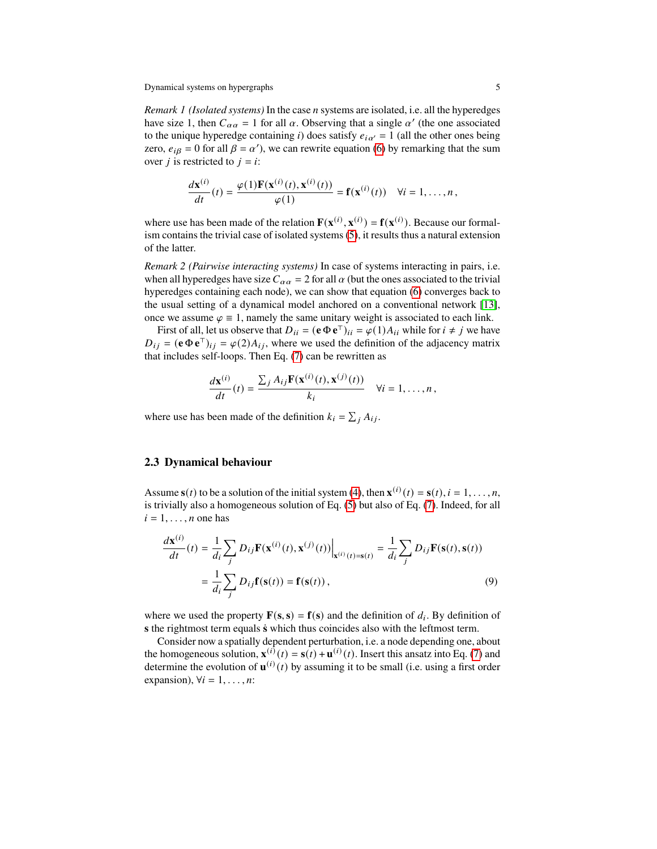*Remark 1 (Isolated systems)* In the case *n* systems are isolated, i.e. all the hyperedges have size 1, then  $C_{\alpha\alpha} = 1$  for all  $\alpha$ . Observing that a single  $\alpha'$  (the one associated to the unique hyperedge containing i) does satisfy  $e_{i\alpha'} = 1$  (all the other ones being zero,  $e_{i\beta} = 0$  for all  $\beta = \alpha'$ ), we can rewrite equation [\(6\)](#page-3-2) by remarking that the sum over *j* is restricted to  $j = i$ :

$$
\frac{d\mathbf{x}^{(i)}}{dt}(t) = \frac{\varphi(1)\mathbf{F}(\mathbf{x}^{(i)}(t), \mathbf{x}^{(i)}(t))}{\varphi(1)} = \mathbf{f}(\mathbf{x}^{(i)}(t)) \quad \forall i = 1, \ldots, n,
$$

where use has been made of the relation  $\mathbf{F}(\mathbf{x}^{(i)}, \mathbf{x}^{(i)}) = \mathbf{f}(\mathbf{x}^{(i)})$ . Because our formalism contains the trivial case of isolated systems [\(5\)](#page-3-1), it results thus a natural extension of the latter.

*Remark 2 (Pairwise interacting systems)* In case of systems interacting in pairs, i.e. when all hyperedges have size  $C_{\alpha\alpha} = 2$  for all  $\alpha$  (but the ones associated to the trivial hyperedges containing each node), we can show that equation [\(6\)](#page-3-2) converges back to the usual setting of a dynamical model anchored on a conventional network [\[13\]](#page-16-19), once we assume  $\varphi \equiv 1$ , namely the same unitary weight is associated to each link.

First of all, let us observe that  $D_{ii} = (\mathbf{e} \Phi \mathbf{e}^{\mathsf{T}})_{ii} = \varphi(1) A_{ii}$  while for  $i \neq j$  we have  $D_{ij} = (\mathbf{e} \Phi \mathbf{e}^{\mathsf{T}})_{ij} = \varphi(2) A_{ij}$ , where we used the definition of the adjacency matrix that includes self-loops. Then Eq. [\(7\)](#page-3-3) can be rewritten as

$$
\frac{d\mathbf{x}^{(i)}}{dt}(t) = \frac{\sum_j A_{ij} \mathbf{F}(\mathbf{x}^{(i)}(t), \mathbf{x}^{(j)}(t))}{k_i} \quad \forall i = 1, \dots, n\,,
$$

where use has been made of the definition  $k_i = \sum_i A_{ij}$ .

#### **2.3 Dynamical behaviour**

Assume  $\mathbf{s}(t)$  to be a solution of the initial system [\(4\)](#page-3-0), then  $\mathbf{x}^{(i)}(t) = \mathbf{s}(t)$ ,  $i = 1, ..., n$ , is trivially also a homogeneous solution of Eq. [\(5\)](#page-3-1) but also of Eq. [\(7\)](#page-3-3). Indeed, for all  $i = 1, \ldots, n$  one has

<span id="page-4-0"></span>
$$
\frac{d\mathbf{x}^{(i)}}{dt}(t) = \frac{1}{d_i} \sum_j D_{ij} \mathbf{F}(\mathbf{x}^{(i)}(t), \mathbf{x}^{(j)}(t)) \Big|_{\mathbf{x}^{(i)}(t) = \mathbf{s}(t)} = \frac{1}{d_i} \sum_j D_{ij} \mathbf{F}(\mathbf{s}(t), \mathbf{s}(t))
$$

$$
= \frac{1}{d_i} \sum_j D_{ij} \mathbf{f}(\mathbf{s}(t)) = \mathbf{f}(\mathbf{s}(t)),
$$
(9)

where we used the property  $\mathbf{F}(\mathbf{s}, \mathbf{s}) = \mathbf{f}(\mathbf{s})$  and the definition of  $d_i$ . By definition of **s** the rightmost term equals **s**¤ which thus coincides also with the leftmost term.

Consider now a spatially dependent perturbation, i.e. a node depending one, about the homogeneous solution,  $\mathbf{x}^{(i)}(t) = \mathbf{s}(t) + \mathbf{u}^{(i)}(t)$ . Insert this ansatz into Eq. [\(7\)](#page-3-3) and determine the evolution of  $\mathbf{u}^{(i)}(t)$  by assuming it to be small (i.e. using a first order expansion),  $\forall i = 1, \ldots, n$ :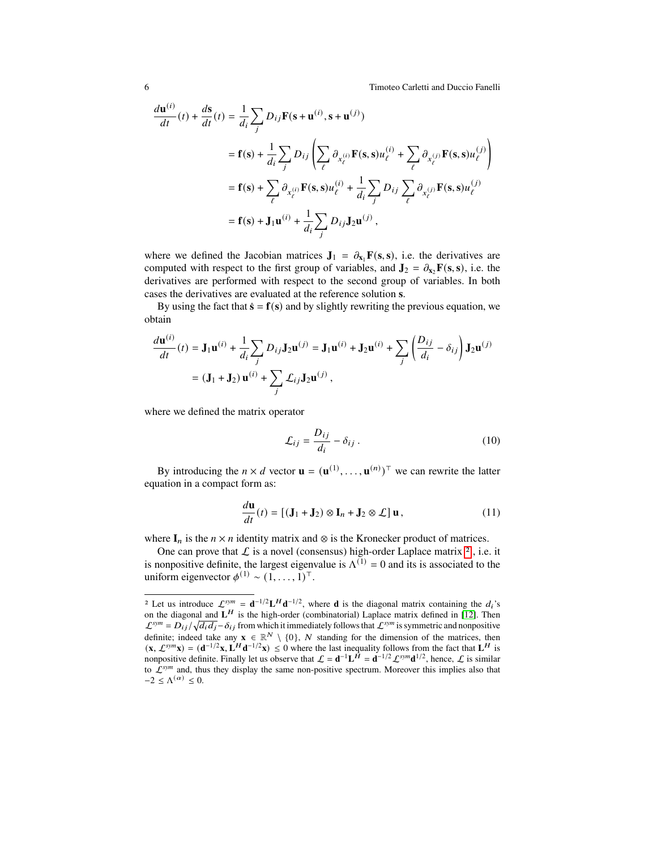6 Timoteo Carletti and Duccio Fanelli

$$
\frac{d\mathbf{u}^{(i)}}{dt}(t) + \frac{d\mathbf{s}}{dt}(t) = \frac{1}{d_i} \sum_j D_{ij} \mathbf{F}(\mathbf{s} + \mathbf{u}^{(i)}, \mathbf{s} + \mathbf{u}^{(j)})
$$
\n
$$
= \mathbf{f}(\mathbf{s}) + \frac{1}{d_i} \sum_j D_{ij} \left( \sum_\ell \partial_{x_\ell^{(i)}} \mathbf{F}(\mathbf{s}, \mathbf{s}) u_\ell^{(i)} + \sum_\ell \partial_{x_\ell^{(j)}} \mathbf{F}(\mathbf{s}, \mathbf{s}) u_\ell^{(j)} \right)
$$
\n
$$
= \mathbf{f}(\mathbf{s}) + \sum_\ell \partial_{x_\ell^{(i)}} \mathbf{F}(\mathbf{s}, \mathbf{s}) u_\ell^{(i)} + \frac{1}{d_i} \sum_j D_{ij} \sum_\ell \partial_{x_\ell^{(j)}} \mathbf{F}(\mathbf{s}, \mathbf{s}) u_\ell^{(j)}
$$
\n
$$
= \mathbf{f}(\mathbf{s}) + \mathbf{J}_1 \mathbf{u}^{(i)} + \frac{1}{d_i} \sum_j D_{ij} \mathbf{J}_2 \mathbf{u}^{(j)},
$$

where we defined the Jacobian matrices  $J_1 = \partial_{x_1} F(s, s)$ , i.e. the derivatives are computed with respect to the first group of variables, and  $\mathbf{J}_2 = \partial_{\mathbf{x}} \mathbf{F}(\mathbf{s}, \mathbf{s})$ , i.e. the derivatives are performed with respect to the second group of variables. In both cases the derivatives are evaluated at the reference solution **s**.

By using the fact that  $\dot{\mathbf{s}} = \mathbf{f}(\mathbf{s})$  and by slightly rewriting the previous equation, we obtain

$$
\frac{d\mathbf{u}^{(i)}}{dt}(t) = \mathbf{J}_1 \mathbf{u}^{(i)} + \frac{1}{d_i} \sum_j D_{ij} \mathbf{J}_2 \mathbf{u}^{(j)} = \mathbf{J}_1 \mathbf{u}^{(i)} + \mathbf{J}_2 \mathbf{u}^{(i)} + \sum_j \left( \frac{D_{ij}}{d_i} - \delta_{ij} \right) \mathbf{J}_2 \mathbf{u}^{(j)}
$$
  
=  $(\mathbf{J}_1 + \mathbf{J}_2) \mathbf{u}^{(i)} + \sum_j \mathcal{L}_{ij} \mathbf{J}_2 \mathbf{u}^{(j)}$ ,

where we defined the matrix operator

<span id="page-5-2"></span>
$$
\mathcal{L}_{ij} = \frac{D_{ij}}{d_i} - \delta_{ij} \,. \tag{10}
$$

By introducing the  $n \times d$  vector  $\mathbf{u} = (\mathbf{u}^{(1)}, \dots, \mathbf{u}^{(n)})^{\top}$  we can rewrite the latter equation in a compact form as:

<span id="page-5-1"></span>
$$
\frac{d\mathbf{u}}{dt}(t) = [(\mathbf{J}_1 + \mathbf{J}_2) \otimes \mathbf{I}_n + \mathbf{J}_2 \otimes \mathcal{L}] \mathbf{u},
$$
\n(11)

where  $I_n$  is the  $n \times n$  identity matrix and  $\otimes$  is the Kronecker product of matrices.

One can prove that  $\mathcal L$  is a novel (consensus) high-order Laplace matrix  $^2$  $^2$ , i.e. it is nonpositive definite, the largest eigenvalue is  $\Lambda^{(1)} = 0$  and its is associated to the uniform eigenvector  $\phi^{(1)} \sim (1, \ldots, 1)^{\top}$ .

<span id="page-5-0"></span><sup>&</sup>lt;sup>2</sup> Let us introduce  $\mathcal{L}^{sym} = d^{-1/2}L^H d^{-1/2}$ , where **d** is the diagonal matrix containing the  $d_i$ 's on the diagonal and  $L^H$  is the high-order (combinatorial) Laplace matrix defined in [\[12\]](#page-16-14). Then  $\mathcal{L}^{sym} = D_{ij}/\sqrt{d_i d_j} - \delta_{ij}$  from which it immediately follows that  $\mathcal{L}^{sym}$  is symmetric and nonpositive definite; indeed take any  $\mathbf{x} \in \mathbb{R}^N \setminus \{0\}$ , N standing for the dimension of the matrices, then  $(\mathbf{x}, \mathcal{L}^{\text{sym}}\mathbf{x}) = (\mathbf{d}^{-1/2}\mathbf{x}, \mathbf{L}^H\mathbf{d}^{-1/2}\mathbf{x}) \leq 0$  where the last inequality follows from the fact that  $\mathbf{L}^H$  is nonpositive definite. Finally let us observe that  $\mathcal{L} = d^{-1}L^{\hat{H}} = d^{-1/2}\mathcal{L}^{sym}d^{1/2}$ , hence,  $\mathcal{L}$  is similar to  $\mathcal{L}^{sym}$  and, thus they display the same non-positive spectrum. Moreover this implies also that  $-2 \leq \Lambda^{(\alpha)} \leq 0.$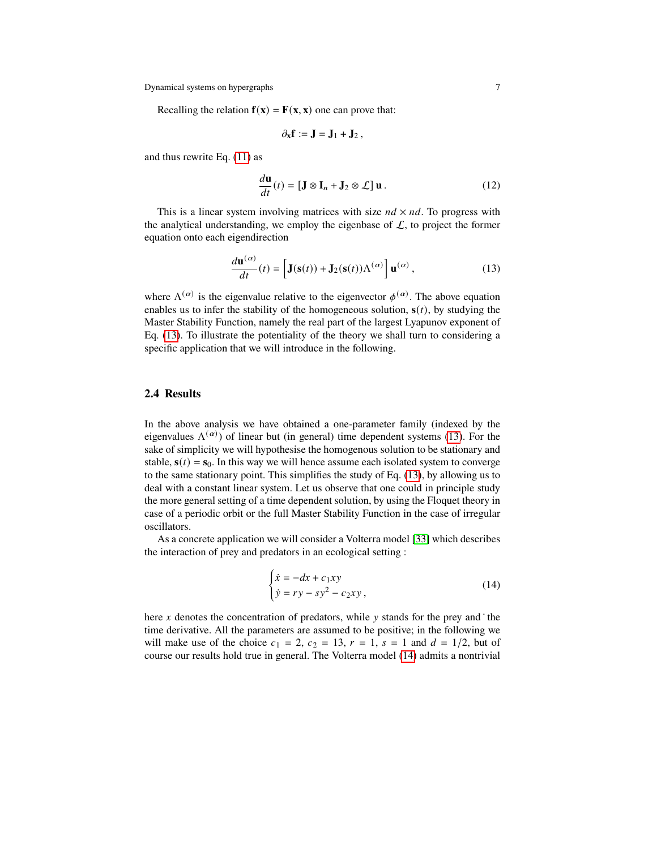Recalling the relation  $f(x) = F(x, x)$  one can prove that:

$$
\partial_x f := J = J_1 + J_2 \,,
$$

and thus rewrite Eq. [\(11\)](#page-5-1) as

$$
\frac{d\mathbf{u}}{dt}(t) = [\mathbf{J} \otimes \mathbf{I}_n + \mathbf{J}_2 \otimes \mathcal{L}] \mathbf{u}.
$$
 (12)

This is a linear system involving matrices with size  $nd \times nd$ . To progress with the analytical understanding, we employ the eigenbase of  $\mathcal{L}$ , to project the former equation onto each eigendirection

<span id="page-6-0"></span>
$$
\frac{d\mathbf{u}^{(\alpha)}}{dt}(t) = \left[\mathbf{J}(\mathbf{s}(t)) + \mathbf{J}_2(\mathbf{s}(t))\Lambda^{(\alpha)}\right] \mathbf{u}^{(\alpha)},\tag{13}
$$

where  $\Lambda^{(\alpha)}$  is the eigenvalue relative to the eigenvector  $\phi^{(\alpha)}$ . The above equation enables us to infer the stability of the homogeneous solution,  $s(t)$ , by studying the Master Stability Function, namely the real part of the largest Lyapunov exponent of Eq. [\(13\)](#page-6-0). To illustrate the potentiality of the theory we shall turn to considering a specific application that we will introduce in the following.

#### **2.4 Results**

In the above analysis we have obtained a one-parameter family (indexed by the eigenvalues  $\Lambda^{(\alpha)}$ ) of linear but (in general) time dependent systems [\(13\)](#page-6-0). For the sake of simplicity we will hypothesise the homogenous solution to be stationary and stable,  $s(t) = s_0$ . In this way we will hence assume each isolated system to converge to the same stationary point. This simplifies the study of Eq. [\(13\)](#page-6-0), by allowing us to deal with a constant linear system. Let us observe that one could in principle study the more general setting of a time dependent solution, by using the Floquet theory in case of a periodic orbit or the full Master Stability Function in the case of irregular oscillators.

As a concrete application we will consider a Volterra model [\[33\]](#page-17-13) which describes the interaction of prey and predators in an ecological setting :

<span id="page-6-1"></span>
$$
\begin{cases} \n\dot{x} = -dx + c_1xy \\ \n\dot{y} = ry - sy^2 - c_2xy \n\end{cases}
$$
\n(14)

here  $x$  denotes the concentration of predators, while  $y$  stands for the prey and  $\cdot$  the time derivative. All the parameters are assumed to be positive; in the following we will make use of the choice  $c_1 = 2$ ,  $c_2 = 13$ ,  $r = 1$ ,  $s = 1$  and  $d = 1/2$ , but of course our results hold true in general. The Volterra model [\(14\)](#page-6-1) admits a nontrivial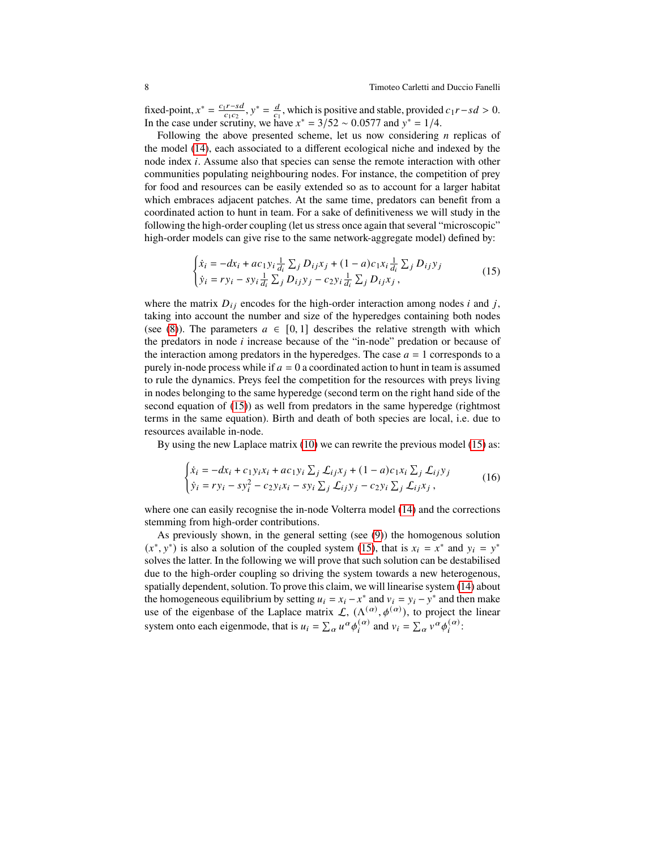fixed-point,  $x^* = \frac{c_1 r - sd}{c_1 c_2}$ ,  $y^* = \frac{d}{c_1}$ , which is positive and stable, provided  $c_1 r - sd > 0$ . In the case under scrutiny, we have  $x^* = 3/52 \sim 0.0577$  and  $y^* = 1/4$ .

Following the above presented scheme, let us now considering  $n$  replicas of the model [\(14\)](#page-6-1), each associated to a different ecological niche and indexed by the node index  $i$ . Assume also that species can sense the remote interaction with other communities populating neighbouring nodes. For instance, the competition of prey for food and resources can be easily extended so as to account for a larger habitat which embraces adjacent patches. At the same time, predators can benefit from a coordinated action to hunt in team. For a sake of definitiveness we will study in the following the high-order coupling (let us stress once again that several "microscopic" high-order models can give rise to the same network-aggregate model) defined by:

<span id="page-7-0"></span>
$$
\begin{cases} \dot{x}_i = -dx_i + ac_1 y_i \frac{1}{d_i} \sum_j D_{ij} x_j + (1 - a)c_1 x_i \frac{1}{d_i} \sum_j D_{ij} y_j \\ \dot{y}_i = r y_i - s y_i \frac{1}{d_i} \sum_j D_{ij} y_j - c_2 y_i \frac{1}{d_i} \sum_j D_{ij} x_j, \end{cases}
$$
(15)

where the matrix  $D_{ij}$  encodes for the high-order interaction among nodes *i* and *j*, taking into account the number and size of the hyperedges containing both nodes (see [\(8\)](#page-3-4)). The parameters  $a \in [0,1]$  describes the relative strength with which the predators in node  $i$  increase because of the "in-node" predation or because of the interaction among predators in the hyperedges. The case  $a = 1$  corresponds to a purely in-node process while if  $a = 0$  a coordinated action to hunt in team is assumed to rule the dynamics. Preys feel the competition for the resources with preys living in nodes belonging to the same hyperedge (second term on the right hand side of the second equation of [\(15\)](#page-7-0)) as well from predators in the same hyperedge (rightmost terms in the same equation). Birth and death of both species are local, i.e. due to resources available in-node.

By using the new Laplace matrix [\(10\)](#page-5-2) we can rewrite the previous model [\(15\)](#page-7-0) as:

$$
\begin{cases} \dot{x}_i = -dx_i + c_1 y_i x_i + ac_1 y_i \sum_j \mathcal{L}_{ij} x_j + (1 - a)c_1 x_i \sum_j \mathcal{L}_{ij} y_j \\ \dot{y}_i = r y_i - s y_i^2 - c_2 y_i x_i - s y_i \sum_j \mathcal{L}_{ij} y_j - c_2 y_i \sum_j \mathcal{L}_{ij} x_j, \end{cases}
$$
(16)

where one can easily recognise the in-node Volterra model [\(14\)](#page-6-1) and the corrections stemming from high-order contributions.

As previously shown, in the general setting (see [\(9\)](#page-4-0)) the homogenous solution  $(x^*, y^*)$  is also a solution of the coupled system [\(15\)](#page-7-0), that is  $x_i = x^*$  and  $y_i = y^*$ solves the latter. In the following we will prove that such solution can be destabilised due to the high-order coupling so driving the system towards a new heterogenous, spatially dependent, solution. To prove this claim, we will linearise system [\(14\)](#page-6-1) about the homogeneous equilibrium by setting  $u_i = x_i - x^*$  and  $v_i = y_i - y^*$  and then make use of the eigenbase of the Laplace matrix  $\mathcal{L}$ ,  $(\Lambda^{(\alpha)}, \phi^{(\alpha)})$ , to project the linear system onto each eigenmode, that is  $u_i = \sum_{\alpha} u^{\alpha} \phi_i^{(\alpha)}$  and  $v_i = \sum_{\alpha} v^{\alpha} \phi_i^{(\alpha)}$ :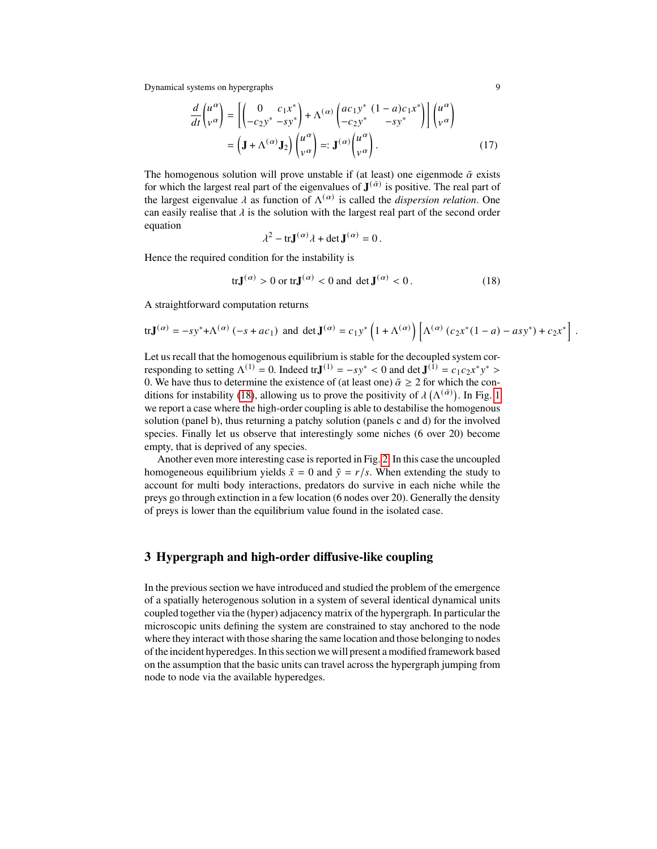$$
\frac{d}{dt} \begin{pmatrix} u^{\alpha} \\ v^{\alpha} \end{pmatrix} = \left[ \begin{pmatrix} 0 & c_1 x^* \\ -c_2 y^* & -s y^* \end{pmatrix} + \Lambda^{(\alpha)} \begin{pmatrix} ac_1 y^* & (1-a)c_1 x^* \\ -c_2 y^* & -s y^* \end{pmatrix} \right] \begin{pmatrix} u^{\alpha} \\ v^{\alpha} \end{pmatrix}
$$

$$
= \left( \mathbf{J} + \Lambda^{(\alpha)} \mathbf{J}_2 \right) \begin{pmatrix} u^{\alpha} \\ v^{\alpha} \end{pmatrix} =: \mathbf{J}^{(\alpha)} \begin{pmatrix} u^{\alpha} \\ v^{\alpha} \end{pmatrix} . \tag{17}
$$

The homogenous solution will prove unstable if (at least) one eigenmode  $\bar{\alpha}$  exists for which the largest real part of the eigenvalues of  $J^{(\bar{\alpha})}$  is positive. The real part of the largest eigenvalue  $\lambda$  as function of  $\Lambda^{(\alpha)}$  is called the *dispersion relation*. One can easily realise that  $\lambda$  is the solution with the largest real part of the second order equation

$$
\lambda^2 - \operatorname{tr} \mathbf{J}^{(\alpha)} \lambda + \det \mathbf{J}^{(\alpha)} = 0.
$$

Hence the required condition for the instability is

<span id="page-8-1"></span>
$$
\operatorname{tr} \mathbf{J}^{(\alpha)} > 0 \text{ or } \operatorname{tr} \mathbf{J}^{(\alpha)} < 0 \text{ and } \det \mathbf{J}^{(\alpha)} < 0. \tag{18}
$$

A straightforward computation returns

$$
\text{tr}\mathbf{J}^{(\alpha)} = -sy^* + \Lambda^{(\alpha)}(-s + ac_1) \text{ and } \det \mathbf{J}^{(\alpha)} = c_1y^* \left(1 + \Lambda^{(\alpha)}\right) \left[\Lambda^{(\alpha)}(c_2x^*(1-a) - asy^*) + c_2x^*\right].
$$

Let us recall that the homogenous equilibrium is stable for the decoupled system corresponding to setting  $\Lambda^{(1)} = 0$ . Indeed tr**J**<sup>(1)</sup> =  $-sy^* < 0$  and det **J**<sup>(1)</sup> =  $c_1c_2x^*y^* > 0$ 0. We have thus to determine the existence of (at least one)  $\bar{\alpha} \geq 2$  for which the con-ditions for instability [\(18\)](#page-8-1), allowing us to prove the positivity of  $\lambda(\Lambda^{(\bar{\alpha})})$ . In Fig. [1](#page-9-0) we report a case where the high-order coupling is able to destabilise the homogenous solution (panel b), thus returning a patchy solution (panels c and d) for the involved species. Finally let us observe that interestingly some niches (6 over 20) become empty, that is deprived of any species.

Another even more interesting case is reported in Fig. [2.](#page-10-0) In this case the uncoupled homogeneous equilibrium yields  $\tilde{x} = 0$  and  $\tilde{y} = r/s$ . When extending the study to account for multi body interactions, predators do survive in each niche while the preys go through extinction in a few location (6 nodes over 20). Generally the density of preys is lower than the equilibrium value found in the isolated case.

## <span id="page-8-0"></span>**3 Hypergraph and high-order diffusive-like coupling**

In the previous section we have introduced and studied the problem of the emergence of a spatially heterogenous solution in a system of several identical dynamical units coupled together via the (hyper) adjacency matrix of the hypergraph. In particular the microscopic units defining the system are constrained to stay anchored to the node where they interact with those sharing the same location and those belonging to nodes of the incident hyperedges. In this section we will present a modified framework based on the assumption that the basic units can travel across the hypergraph jumping from node to node via the available hyperedges.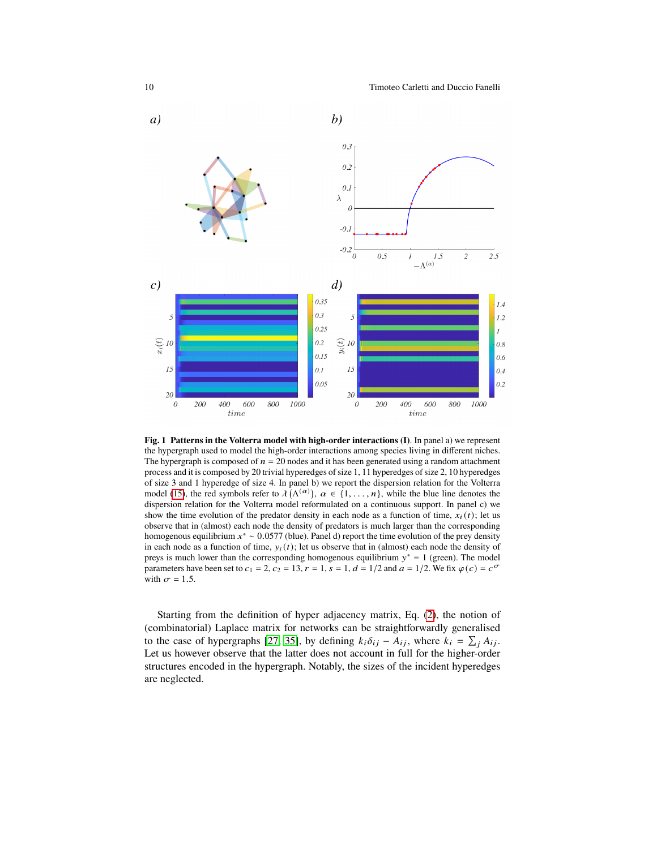10 Timoteo Carletti and Duccio Fanelli



<span id="page-9-0"></span>**Fig. 1 Patterns in the Volterra model with high-order interactions (I)**. In panel a) we represent the hypergraph used to model the high-order interactions among species living in different niches. The hypergraph is composed of  $n = 20$  nodes and it has been generated using a random attachment process and it is composed by 20 trivial hyperedges of size 1, 11 hyperedges of size 2, 10 hyperedges of size 3 and 1 hyperedge of size 4. In panel b) we report the dispersion relation for the Volterra model [\(15\)](#page-7-0), the red symbols refer to  $\lambda(\Lambda^{(\alpha)})$ ,  $\alpha \in \{1, \ldots, n\}$ , while the blue line denotes the dispersion relation for the Volterra model reformulated on a continuous support. In panel c) we show the time evolution of the predator density in each node as a function of time,  $x_i(t)$ ; let us observe that in (almost) each node the density of predators is much larger than the corresponding homogenous equilibrium  $x^* \sim 0.0577$  (blue). Panel d) report the time evolution of the prey density in each node as a function of time,  $y_i(t)$ ; let us observe that in (almost) each node the density of preys is much lower than the corresponding homogenous equilibrium  $y^* = 1$  (green). The model parameters have been set to  $c_1 = 2$ ,  $c_2 = 13$ ,  $r = 1$ ,  $s = 1$ ,  $d = 1/2$  and  $a = 1/2$ . We fix  $\varphi(c) = c^{\sigma}$ with  $\sigma = 1.5$ .

Starting from the definition of hyper adjacency matrix, Eq. [\(2\)](#page-2-2), the notion of (combinatorial) Laplace matrix for networks can be straightforwardly generalised to the case of hypergraphs [\[27,](#page-17-14) [35\]](#page-17-7), by defining  $k_i \delta_{ij} - A_{ij}$ , where  $k_i = \sum_i A_{ij}$ . Let us however observe that the latter does not account in full for the higher-order structures encoded in the hypergraph. Notably, the sizes of the incident hyperedges are neglected.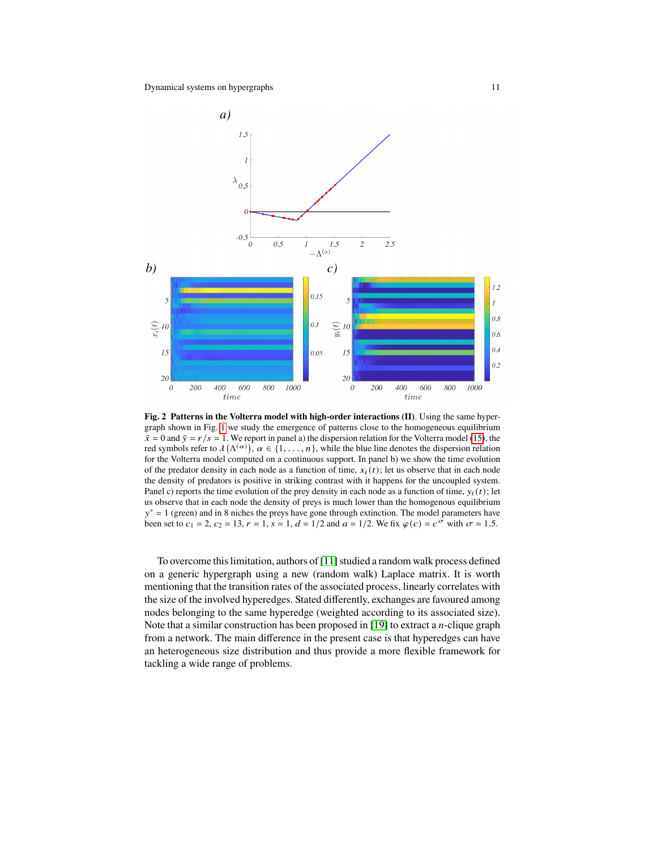

<span id="page-10-0"></span>**Fig. 2 Patterns in the Volterra model with high-order interactions (II)**. Using the same hypergraph shown in Fig. [1](#page-9-0) we study the emergence of patterns close to the homogeneous equilibrium  $\tilde{x} = 0$  and  $\tilde{y} = r/s = 1$ . We report in panel a) the dispersion relation for the Volterra model [\(15\)](#page-7-0), the red symbols refer to  $\lambda(\Lambda^{(\alpha)})$ ,  $\alpha \in \{1, \ldots, n\}$ , while the blue line denotes the dispersion relation for the Volterra model computed on a continuous support. In panel b) we show the time evolution of the predator density in each node as a function of time,  $x_i(t)$ ; let us observe that in each node the density of predators is positive in striking contrast with it happens for the uncoupled system. Panel c) reports the time evolution of the prey density in each node as a function of time,  $y_i(t)$ ; let us observe that in each node the density of preys is much lower than the homogenous equilibrium  $y^* = 1$  (green) and in 8 niches the preys have gone through extinction. The model parameters have been set to  $c_1 = 2$ ,  $c_2 = 13$ ,  $r = 1$ ,  $s = 1$ ,  $d = 1/2$  and  $a = 1/2$ . We fix  $\varphi(c) = c^{\sigma}$  with  $\sigma = 1.5$ .

To overcome this limitation, authors of [\[11\]](#page-16-8) studied a random walk process defined on a generic hypergraph using a new (random walk) Laplace matrix. It is worth mentioning that the transition rates of the associated process, linearly correlates with the size of the involved hyperedges. Stated differently, exchanges are favoured among nodes belonging to the same hyperedge (weighted according to its associated size). Note that a similar construction has been proposed in [\[19\]](#page-16-20) to extract a *n*-clique graph from a network. The main difference in the present case is that hyperedges can have an heterogeneous size distribution and thus provide a more flexible framework for tackling a wide range of problems.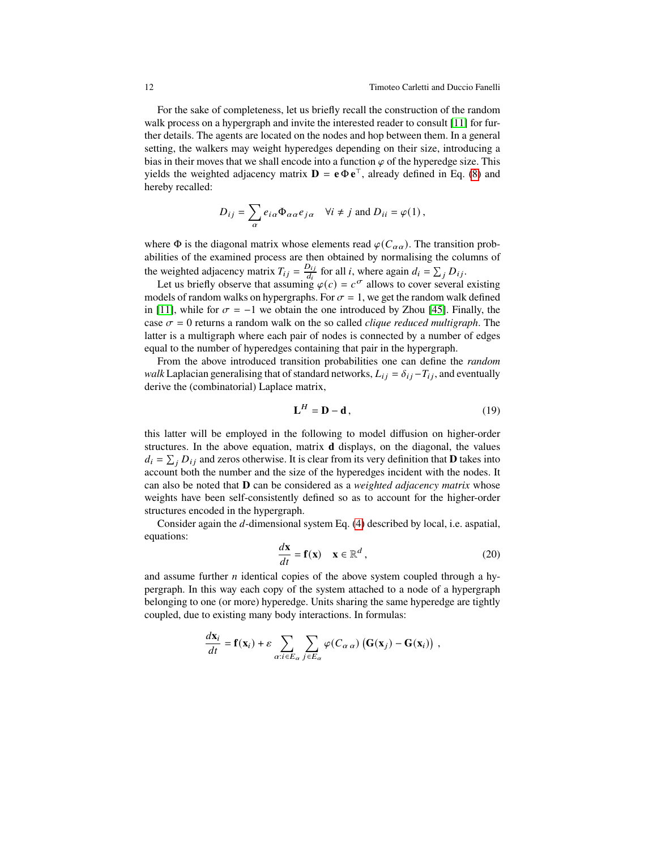For the sake of completeness, let us briefly recall the construction of the random walk process on a hypergraph and invite the interested reader to consult [\[11\]](#page-16-8) for further details. The agents are located on the nodes and hop between them. In a general setting, the walkers may weight hyperedges depending on their size, introducing a bias in their moves that we shall encode into a function  $\varphi$  of the hyperedge size. This yields the weighted adjacency matrix  $\mathbf{D} = \mathbf{e} \Phi \mathbf{e}^{\top}$ , already defined in Eq. [\(8\)](#page-3-4) and hereby recalled:

$$
D_{ij} = \sum_{\alpha} e_{i\alpha} \Phi_{\alpha\alpha} e_{j\alpha} \quad \forall i \neq j \text{ and } D_{ii} = \varphi(1),
$$

where  $\Phi$  is the diagonal matrix whose elements read  $\varphi(C_{\alpha\alpha})$ . The transition probabilities of the examined process are then obtained by normalising the columns of the weighted adjacency matrix  $T_{ij} = \frac{D_{ij}}{d_i}$  $\frac{D_{ij}}{d_i}$  for all *i*, where again  $d_i = \sum_j D_{ij}$ .

Let us briefly observe that assuming  $\varphi(c) = c^{\sigma}$  allows to cover several existing models of random walks on hypergraphs. For  $\sigma = 1$ , we get the random walk defined in [\[11\]](#page-16-8), while for  $\sigma = -1$  we obtain the one introduced by Zhou [\[45\]](#page-17-15). Finally, the case  $\sigma = 0$  returns a random walk on the so called *clique reduced multigraph*. The latter is a multigraph where each pair of nodes is connected by a number of edges equal to the number of hyperedges containing that pair in the hypergraph.

From the above introduced transition probabilities one can define the *random walk* Laplacian generalising that of standard networks,  $L_{ij} = \delta_{ij} - T_{ij}$ , and eventually derive the (combinatorial) Laplace matrix,

$$
\mathbf{L}^H = \mathbf{D} - \mathbf{d} \,,\tag{19}
$$

this latter will be employed in the following to model diffusion on higher-order structures. In the above equation, matrix **d** displays, on the diagonal, the values  $d_i = \sum_j D_{ij}$  and zeros otherwise. It is clear from its very definition that **D** takes into account both the number and the size of the hyperedges incident with the nodes. It can also be noted that **D** can be considered as a *weighted adjacency matrix* whose weights have been self-consistently defined so as to account for the higher-order structures encoded in the hypergraph.

Consider again the  $d$ -dimensional system Eq. [\(4\)](#page-3-0) described by local, i.e. aspatial, equations:

<span id="page-11-0"></span>
$$
\frac{d\mathbf{x}}{dt} = \mathbf{f}(\mathbf{x}) \quad \mathbf{x} \in \mathbb{R}^d \,, \tag{20}
$$

and assume further  $n$  identical copies of the above system coupled through a hypergraph. In this way each copy of the system attached to a node of a hypergraph belonging to one (or more) hyperedge. Units sharing the same hyperedge are tightly coupled, due to existing many body interactions. In formulas:

$$
\frac{d\mathbf{x}_i}{dt} = \mathbf{f}(\mathbf{x}_i) + \varepsilon \sum_{\alpha:i \in E_\alpha} \sum_{j \in E_\alpha} \varphi(C_{\alpha\alpha}) \left( \mathbf{G}(\mathbf{x}_j) - \mathbf{G}(\mathbf{x}_i) \right) ,
$$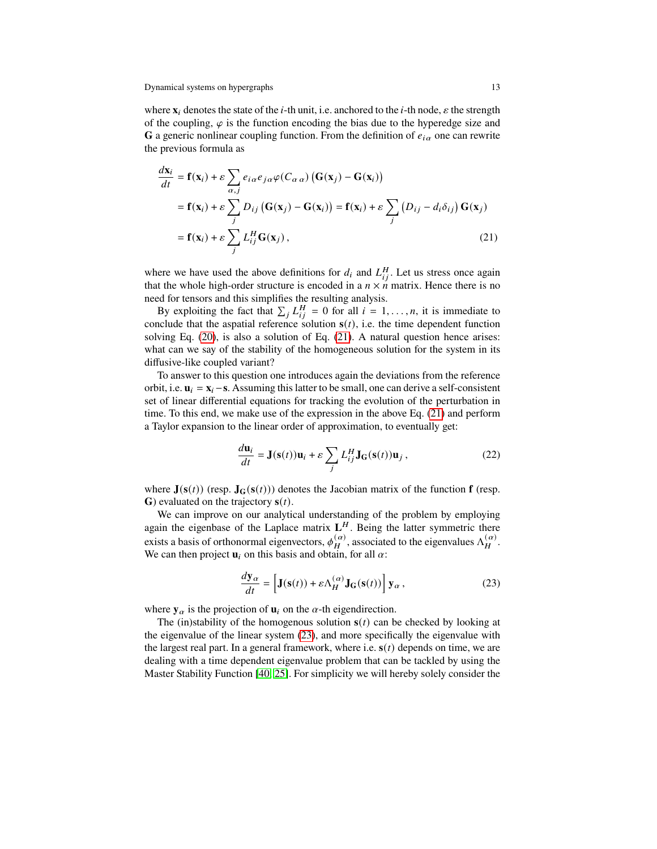where  $\mathbf{x}_i$  denotes the state of the *i*-th unit, i.e. anchored to the *i*-th node,  $\varepsilon$  the strength of the coupling,  $\varphi$  is the function encoding the bias due to the hyperedge size and **G** a generic nonlinear coupling function. From the definition of  $e_{i\alpha}$  one can rewrite the previous formula as

<span id="page-12-0"></span>
$$
\frac{d\mathbf{x}_i}{dt} = \mathbf{f}(\mathbf{x}_i) + \varepsilon \sum_{\alpha, j} e_{i\alpha} e_{j\alpha} \varphi(C_{\alpha \alpha}) (\mathbf{G}(\mathbf{x}_j) - \mathbf{G}(\mathbf{x}_i))
$$
  
\n
$$
= \mathbf{f}(\mathbf{x}_i) + \varepsilon \sum_j D_{ij} (\mathbf{G}(\mathbf{x}_j) - \mathbf{G}(\mathbf{x}_i)) = \mathbf{f}(\mathbf{x}_i) + \varepsilon \sum_j (D_{ij} - d_i \delta_{ij}) \mathbf{G}(\mathbf{x}_j)
$$
  
\n
$$
= \mathbf{f}(\mathbf{x}_i) + \varepsilon \sum_j L_{ij}^H \mathbf{G}(\mathbf{x}_j),
$$
 (21)

where we have used the above definitions for  $d_i$  and  $L_{ii}^H$ . Let us stress once again that the whole high-order structure is encoded in a  $n \times n$  matrix. Hence there is no need for tensors and this simplifies the resulting analysis.

By exploiting the fact that  $\sum_{i} L_{ii}^H = 0$  for all  $i = 1, ..., n$ , it is immediate to conclude that the aspatial reference solution  $s(t)$ , i.e. the time dependent function solving Eq. [\(20\)](#page-11-0), is also a solution of Eq. [\(21\)](#page-12-0). A natural question hence arises: what can we say of the stability of the homogeneous solution for the system in its diffusive-like coupled variant?

To answer to this question one introduces again the deviations from the reference orbit, i.e.  $\mathbf{u}_i = \mathbf{x}_i - \mathbf{s}$ . Assuming this latter to be small, one can derive a self-consistent set of linear differential equations for tracking the evolution of the perturbation in time. To this end, we make use of the expression in the above Eq. [\(21\)](#page-12-0) and perform a Taylor expansion to the linear order of approximation, to eventually get:

<span id="page-12-2"></span>
$$
\frac{d\mathbf{u}_i}{dt} = \mathbf{J}(\mathbf{s}(t))\mathbf{u}_i + \varepsilon \sum_j L_{ij}^H \mathbf{J}_\mathbf{G}(\mathbf{s}(t))\mathbf{u}_j, \qquad (22)
$$

where  $J(s(t))$  (resp.  $J_G(s(t))$ ) denotes the Jacobian matrix of the function **f** (resp. **G**) evaluated on the trajectory  $s(t)$ .

We can improve on our analytical understanding of the problem by employing again the eigenbase of the Laplace matrix  $L<sup>H</sup>$ . Being the latter symmetric there exists a basis of orthonormal eigenvectors,  $\phi_H^{(\alpha)}$ , associated to the eigenvalues  $\Lambda_H^{(\alpha)}$ . We can then project  $\mathbf{u}_i$  on this basis and obtain, for all  $\alpha$ :

<span id="page-12-1"></span>
$$
\frac{d\mathbf{y}_{\alpha}}{dt} = \left[\mathbf{J}(\mathbf{s}(t)) + \varepsilon \Lambda_H^{(\alpha)} \mathbf{J}_\mathbf{G}(\mathbf{s}(t))\right] \mathbf{y}_{\alpha},\tag{23}
$$

where  $y_\alpha$  is the projection of  $u_i$  on the  $\alpha$ -th eigendirection.

The (in)stability of the homogenous solution  $s(t)$  can be checked by looking at the eigenvalue of the linear system [\(23\)](#page-12-1), and more specifically the eigenvalue with the largest real part. In a general framework, where i.e.  $s(t)$  depends on time, we are dealing with a time dependent eigenvalue problem that can be tackled by using the Master Stability Function [\[40,](#page-17-16) [25\]](#page-17-17). For simplicity we will hereby solely consider the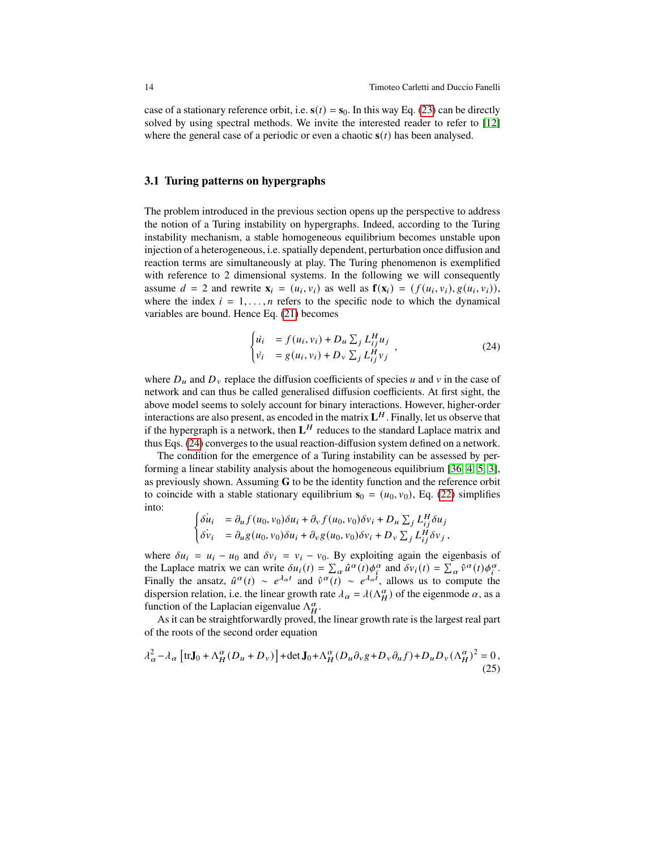case of a stationary reference orbit, i.e.  $s(t) = s_0$ . In this way Eq. [\(23\)](#page-12-1) can be directly solved by using spectral methods. We invite the interested reader to refer to [\[12\]](#page-16-14) where the general case of a periodic or even a chaotic  $s(t)$  has been analysed.

#### **3.1 Turing patterns on hypergraphs**

The problem introduced in the previous section opens up the perspective to address the notion of a Turing instability on hypergraphs. Indeed, according to the Turing instability mechanism, a stable homogeneous equilibrium becomes unstable upon injection of a heterogeneous, i.e. spatially dependent, perturbation once diffusion and reaction terms are simultaneously at play. The Turing phenomenon is exemplified with reference to 2 dimensional systems. In the following we will consequently assume  $d = 2$  and rewrite  $\mathbf{x}_i = (u_i, v_i)$  as well as  $\mathbf{f}(\mathbf{x}_i) = (f(u_i, v_i), g(u_i, v_i)),$ where the index  $i = 1, \ldots, n$  refers to the specific node to which the dynamical variables are bound. Hence Eq. [\(21\)](#page-12-0) becomes

<span id="page-13-0"></span>
$$
\begin{cases}\n\dot{u}_i &= f(u_i, v_i) + D_u \sum_j L_{ij}^H u_j \\
\dot{v}_i &= g(u_i, v_i) + D_v \sum_j L_{ij}^H v_j\n\end{cases}
$$
\n(24)

where  $D_u$  and  $D_v$  replace the diffusion coefficients of species u and v in the case of network and can thus be called generalised diffusion coefficients. At first sight, the above model seems to solely account for binary interactions. However, higher-order interactions are also present, as encoded in the matrix  $L^H$ . Finally, let us observe that if the hypergraph is a network, then  $L^H$  reduces to the standard Laplace matrix and thus Eqs. [\(24\)](#page-13-0) converges to the usual reaction-diffusion system defined on a network.

The condition for the emergence of a Turing instability can be assessed by performing a linear stability analysis about the homogeneous equilibrium [\[36,](#page-17-18) [4,](#page-16-21) [5,](#page-16-22) [3\]](#page-16-23), as previously shown. Assuming **G** to be the identity function and the reference orbit to coincide with a stable stationary equilibrium  $s_0 = (u_0, v_0)$ , Eq. [\(22\)](#page-12-2) simplifies into:

$$
\begin{cases} \dot{\delta u}_i &= \partial_u f(u_0, v_0) \delta u_i + \partial_v f(u_0, v_0) \delta v_i + D_u \sum_j L_{ij}^H \delta u_j \\ \dot{\delta v}_i &= \partial_u g(u_0, v_0) \delta u_i + \partial_v g(u_0, v_0) \delta v_i + D_v \sum_j L_{ij}^H \delta v_j \end{cases}
$$

where  $\delta u_i = u_i - u_0$  and  $\delta v_i = v_i - v_0$ . By exploiting again the eigenbasis of the Laplace matrix we can write  $\delta u_i(t) = \sum_{\alpha} \hat{u}^{\alpha}(t) \phi_i^{\alpha}$  and  $\delta v_i(t) = \sum_{\alpha} \hat{v}^{\alpha}(t) \phi_i^{\alpha}$ . Finally the ansatz,  $\hat{u}^{\alpha}(t) \sim e^{\lambda_{\alpha}t}$  and  $\hat{v}^{\alpha}(t) \sim e^{\lambda_{\alpha}t}$ , allows us to compute the dispersion relation, i.e. the linear growth rate  $\lambda_{\alpha} = \lambda(\Lambda_H^{\alpha})$  of the eigenmode  $\alpha$ , as a function of the Laplacian eigenvalue  $\Lambda_H^{\alpha}$ .

As it can be straightforwardly proved, the linear growth rate is the largest real part of the roots of the second order equation

<span id="page-13-1"></span>
$$
\lambda_{\alpha}^{2} - \lambda_{\alpha} \left[ \text{tr} \mathbf{J}_{0} + \Lambda_{H}^{\alpha} (D_{u} + D_{v}) \right] + \det \mathbf{J}_{0} + \Lambda_{H}^{\alpha} (D_{u} \partial_{v} g + D_{v} \partial_{u} f) + D_{u} D_{v} (\Lambda_{H}^{\alpha})^{2} = 0,
$$
\n(25)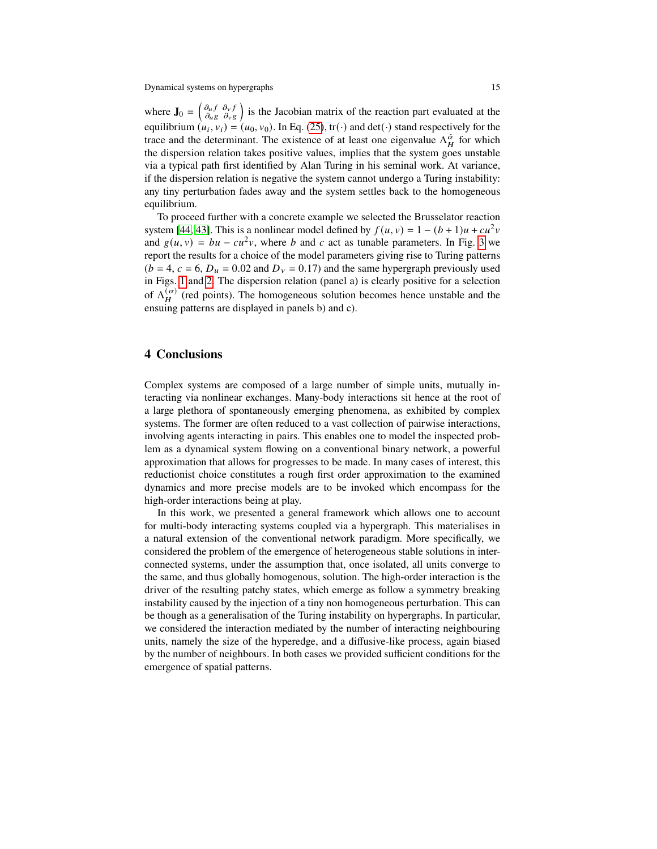where  $\mathbf{J}_0 = \begin{pmatrix} \partial_u f & \partial_v f \\ \partial_u g & \partial_v g \end{pmatrix}$  $\partial_{u} f \partial_{v} f$  is the Jacobian matrix of the reaction part evaluated at the equilibrium  $(u_i, v_i) = (u_0, v_0)$ . In Eq. [\(25\)](#page-13-1), tr(·) and det(·) stand respectively for the trace and the determinant. The existence of at least one eigenvalue  $\Lambda_H^{\alpha}$  for which the dispersion relation takes positive values, implies that the system goes unstable via a typical path first identified by Alan Turing in his seminal work. At variance, if the dispersion relation is negative the system cannot undergo a Turing instability: any tiny perturbation fades away and the system settles back to the homogeneous equilibrium.

To proceed further with a concrete example we selected the Brusselator reaction system [\[44,](#page-17-19) [43\]](#page-17-20). This is a nonlinear model defined by  $f(u, v) = 1 - (b + 1)u + cu^2v$ and  $g(u, v) = bu - cu^2v$ , where b and c act as tunable parameters. In Fig. [3](#page-15-0) we report the results for a choice of the model parameters giving rise to Turing patterns  $(b = 4, c = 6, D_u = 0.02$  and  $D_v = 0.17$ ) and the same hypergraph previously used in Figs. [1](#page-9-0) and [2.](#page-10-0) The dispersion relation (panel a) is clearly positive for a selection of  $\Lambda_H^{(\alpha)}$  (red points). The homogeneous solution becomes hence unstable and the ensuing patterns are displayed in panels b) and c).

# **4 Conclusions**

Complex systems are composed of a large number of simple units, mutually interacting via nonlinear exchanges. Many-body interactions sit hence at the root of a large plethora of spontaneously emerging phenomena, as exhibited by complex systems. The former are often reduced to a vast collection of pairwise interactions, involving agents interacting in pairs. This enables one to model the inspected problem as a dynamical system flowing on a conventional binary network, a powerful approximation that allows for progresses to be made. In many cases of interest, this reductionist choice constitutes a rough first order approximation to the examined dynamics and more precise models are to be invoked which encompass for the high-order interactions being at play.

In this work, we presented a general framework which allows one to account for multi-body interacting systems coupled via a hypergraph. This materialises in a natural extension of the conventional network paradigm. More specifically, we considered the problem of the emergence of heterogeneous stable solutions in interconnected systems, under the assumption that, once isolated, all units converge to the same, and thus globally homogenous, solution. The high-order interaction is the driver of the resulting patchy states, which emerge as follow a symmetry breaking instability caused by the injection of a tiny non homogeneous perturbation. This can be though as a generalisation of the Turing instability on hypergraphs. In particular, we considered the interaction mediated by the number of interacting neighbouring units, namely the size of the hyperedge, and a diffusive-like process, again biased by the number of neighbours. In both cases we provided sufficient conditions for the emergence of spatial patterns.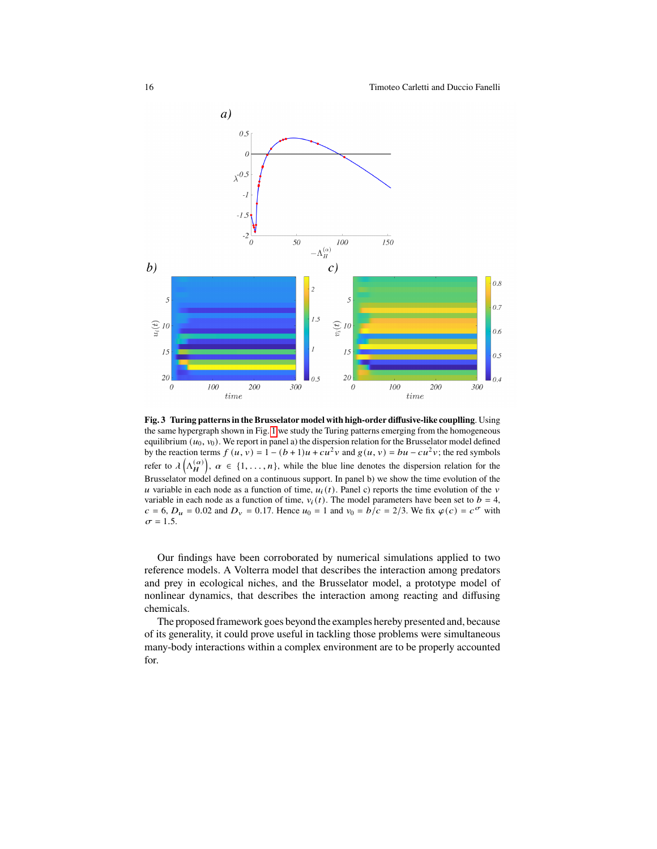

<span id="page-15-0"></span>**Fig. 3 Turing patterns in the Brusselator model with high-order diffusive-like couplling**. Using the same hypergraph shown in Fig. [1](#page-9-0) we study the Turing patterns emerging from the homogeneous equilibrium  $(u_0, v_0)$ . We report in panel a) the dispersion relation for the Brusselator model defined by the reaction terms  $f(u, v) = 1 - (b + 1)u + cu^2v$  and  $g(u, v) = bu - cu^2v$ ; the red symbols refer to  $\lambda\left(\Lambda_H^{(\alpha)}\right), \alpha \in \{1,\ldots,n\},$  while the blue line denotes the dispersion relation for the Brusselator model defined on a continuous support. In panel b) we show the time evolution of the u variable in each node as a function of time,  $u_i(t)$ . Panel c) reports the time evolution of the v variable in each node as a function of time,  $v_i(t)$ . The model parameters have been set to  $b = 4$ ,  $c = 6$ ,  $D_u = 0.02$  and  $D_v = 0.17$ . Hence  $u_0 = 1$  and  $v_0 = b/c = 2/3$ . We fix  $\varphi(c) = c^{\sigma}$  with  $\sigma = 1.5.$ 

Our findings have been corroborated by numerical simulations applied to two reference models. A Volterra model that describes the interaction among predators and prey in ecological niches, and the Brusselator model, a prototype model of nonlinear dynamics, that describes the interaction among reacting and diffusing chemicals.

The proposed framework goes beyond the examples hereby presented and, because of its generality, it could prove useful in tackling those problems were simultaneous many-body interactions within a complex environment are to be properly accounted for.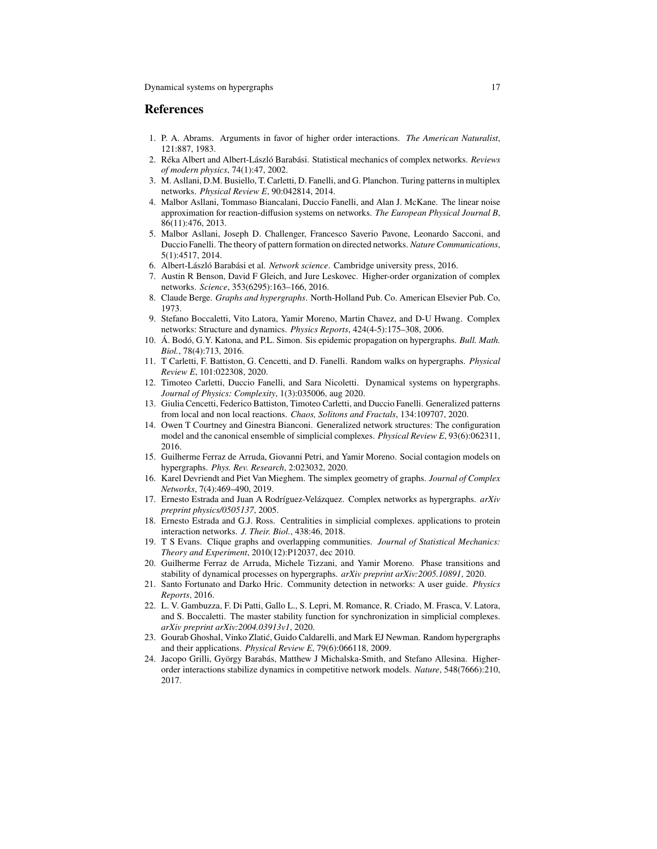#### **References**

- <span id="page-16-6"></span>1. P. A. Abrams. Arguments in favor of higher order interactions. *The American Naturalist*, 121:887, 1983.
- <span id="page-16-0"></span>2. Réka Albert and Albert-László Barabási. Statistical mechanics of complex networks. *Reviews of modern physics*, 74(1):47, 2002.
- <span id="page-16-23"></span>3. M. Asllani, D.M. Busiello, T. Carletti, D. Fanelli, and G. Planchon. Turing patterns in multiplex networks. *Physical Review E*, 90:042814, 2014.
- <span id="page-16-21"></span>4. Malbor Asllani, Tommaso Biancalani, Duccio Fanelli, and Alan J. McKane. The linear noise approximation for reaction-diffusion systems on networks. *The European Physical Journal B*, 86(11):476, 2013.
- <span id="page-16-22"></span>5. Malbor Asllani, Joseph D. Challenger, Francesco Saverio Pavone, Leonardo Sacconi, and Duccio Fanelli. The theory of pattern formation on directed networks. *Nature Communications*, 5(1):4517, 2014.
- <span id="page-16-2"></span>6. Albert-László Barabási et al. *Network science*. Cambridge university press, 2016.
- <span id="page-16-3"></span>7. Austin R Benson, David F Gleich, and Jure Leskovec. Higher-order organization of complex networks. *Science*, 353(6295):163–166, 2016.
- <span id="page-16-9"></span>8. Claude Berge. *Graphs and hypergraphs*. North-Holland Pub. Co. American Elsevier Pub. Co, 1973.
- <span id="page-16-1"></span>9. Stefano Boccaletti, Vito Latora, Yamir Moreno, Martin Chavez, and D-U Hwang. Complex networks: Structure and dynamics. *Physics Reports*, 424(4-5):175–308, 2006.
- <span id="page-16-17"></span>10. Á. Bodó, G.Y. Katona, and P.L. Simon. Sis epidemic propagation on hypergraphs. *Bull. Math. Biol.*, 78(4):713, 2016.
- <span id="page-16-8"></span>11. T Carletti, F. Battiston, G. Cencetti, and D. Fanelli. Random walks on hypergraphs. *Physical Review E*, 101:022308, 2020.
- <span id="page-16-14"></span>12. Timoteo Carletti, Duccio Fanelli, and Sara Nicoletti. Dynamical systems on hypergraphs. *Journal of Physics: Complexity*, 1(3):035006, aug 2020.
- <span id="page-16-19"></span>13. Giulia Cencetti, Federico Battiston, Timoteo Carletti, and Duccio Fanelli. Generalized patterns from local and non local reactions. *Chaos, Solitons and Fractals*, 134:109707, 2020.
- <span id="page-16-16"></span>14. Owen T Courtney and Ginestra Bianconi. Generalized network structures: The configuration model and the canonical ensemble of simplicial complexes. *Physical Review E*, 93(6):062311, 2016.
- <span id="page-16-12"></span>15. Guilherme Ferraz de Arruda, Giovanni Petri, and Yamir Moreno. Social contagion models on hypergraphs. *Phys. Rev. Research*, 2:023032, 2020.
- <span id="page-16-15"></span>16. Karel Devriendt and Piet Van Mieghem. The simplex geometry of graphs. *Journal of Complex Networks*, 7(4):469–490, 2019.
- <span id="page-16-10"></span>17. Ernesto Estrada and Juan A Rodríguez-Velázquez. Complex networks as hypergraphs. *arXiv preprint physics/0505137*, 2005.
- <span id="page-16-5"></span>18. Ernesto Estrada and G.J. Ross. Centralities in simplicial complexes. applications to protein interaction networks. *J. Their. Biol.*, 438:46, 2018.
- <span id="page-16-20"></span>19. T S Evans. Clique graphs and overlapping communities. *Journal of Statistical Mechanics: Theory and Experiment*, 2010(12):P12037, dec 2010.
- <span id="page-16-13"></span>20. Guilherme Ferraz de Arruda, Michele Tizzani, and Yamir Moreno. Phase transitions and stability of dynamical processes on hypergraphs. *arXiv preprint arXiv:2005.10891*, 2020.
- <span id="page-16-4"></span>21. Santo Fortunato and Darko Hric. Community detection in networks: A user guide. *Physics Reports*, 2016.
- <span id="page-16-18"></span>22. L. V. Gambuzza, F. Di Patti, Gallo L., S. Lepri, M. Romance, R. Criado, M. Frasca, V. Latora, and S. Boccaletti. The master stability function for synchronization in simplicial complexes. *arXiv preprint arXiv:2004.03913v1*, 2020.
- <span id="page-16-11"></span>23. Gourab Ghoshal, Vinko Zlatić, Guido Caldarelli, and Mark EJ Newman. Random hypergraphs and their applications. *Physical Review E*, 79(6):066118, 2009.
- <span id="page-16-7"></span>24. Jacopo Grilli, György Barabás, Matthew J Michalska-Smith, and Stefano Allesina. Higherorder interactions stabilize dynamics in competitive network models. *Nature*, 548(7666):210, 2017.